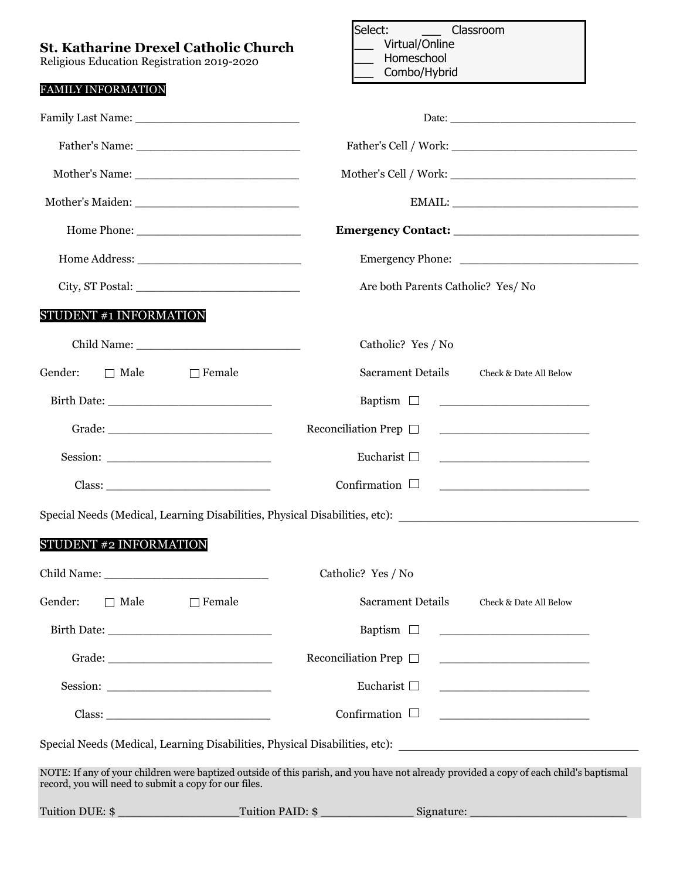| Virtual/Online<br><b>St. Katharine Drexel Catholic Church</b><br>Homeschool                                                            |
|----------------------------------------------------------------------------------------------------------------------------------------|
| Combo/Hybrid                                                                                                                           |
|                                                                                                                                        |
|                                                                                                                                        |
|                                                                                                                                        |
|                                                                                                                                        |
|                                                                                                                                        |
|                                                                                                                                        |
| Are both Parents Catholic? Yes/ No                                                                                                     |
|                                                                                                                                        |
| Catholic? Yes / No                                                                                                                     |
| <b>Sacrament Details</b><br>Check & Date All Below                                                                                     |
| Baptism $\Box$<br><u> 1989 - Johann Barn, mars eta bainar eta politikaria (h. 1908).</u>                                               |
| Reconciliation Prep $\Box$<br><u> 1990 - John Stein, Amerikaansk politiker (</u>                                                       |
| Eucharist $\square$                                                                                                                    |
| Confirmation $\Box$                                                                                                                    |
| Special Needs (Medical, Learning Disabilities, Physical Disabilities, etc): __________________________________                         |
|                                                                                                                                        |
| Catholic? Yes / No                                                                                                                     |
| <b>Sacrament Details</b><br>Check & Date All Below                                                                                     |
| Baptism $\Box$                                                                                                                         |
| Reconciliation Prep $\Box$                                                                                                             |
| Eucharist $\Box$                                                                                                                       |
| Confirmation $\Box$                                                                                                                    |
| Special Needs (Medical, Learning Disabilities, Physical Disabilities, etc): __________________________________                         |
| NOTE: If any of your children were baptized outside of this parish, and you have not already provided a copy of each child's baptismal |
| Tuition PAID: \$<br>Signature: Signature:                                                                                              |
|                                                                                                                                        |

Select: \_\_\_\_\_\_ Classroom